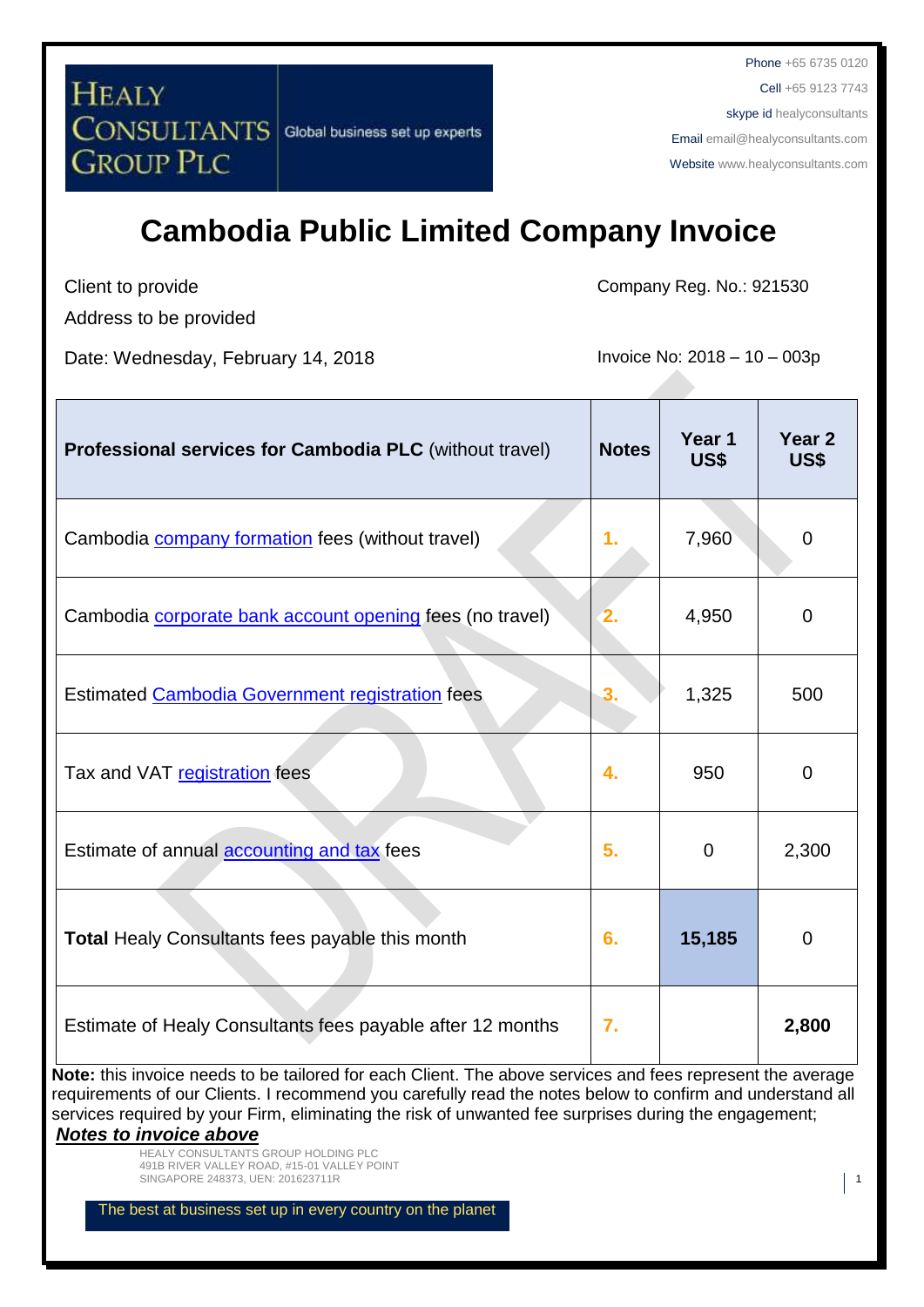Phone +65 6735 0120 Cell +65 9123 7743 skype id healyconsultants Email [email@healyconsultants.com](mailto:EMAIL@HEALYCONSULTANTS.COM) Website [www.healyconsultants.com](http://www.healyconsultants.com/)

## **Cambodia Public Limited Company Invoice**

Client to provide

Address to be provided

Date: Wednesday, February 14, 2018 **Invoice No: 2018** - 10 - 003p

Company Reg. No.: 921530

| Professional services for Cambodia PLC (without travel)                                                                                                                         | <b>Notes</b>   | Year 1<br>US\$ | Year <sub>2</sub><br><b>US\$</b> |
|---------------------------------------------------------------------------------------------------------------------------------------------------------------------------------|----------------|----------------|----------------------------------|
| Cambodia <b>company formation</b> fees (without travel)                                                                                                                         | 1 <sub>r</sub> | 7,960          | $\mathbf 0$                      |
| Cambodia <i>corporate bank</i> account opening fees (no travel)                                                                                                                 |                | 4,950          | $\overline{0}$                   |
| Estimated Cambodia Government registration fees                                                                                                                                 | 3.             | 1,325          | 500                              |
| Tax and VAT registration fees                                                                                                                                                   | 4.             | 950            | 0                                |
| Estimate of annual <b>accounting and tax</b> fees                                                                                                                               | 5.             | $\mathbf 0$    | 2,300                            |
| Total Healy Consultants fees payable this month                                                                                                                                 | 6.             | 15,185         | 0                                |
| Estimate of Healy Consultants fees payable after 12 months<br><b>Note:</b> this invoice needs to be tailored for each Client. The above services and fees represent the average | 7.             |                | 2,800                            |

**Note:** this invoice needs to be tailored for each Client. The above services and fees represent the average requirements of our Clients. I recommend you carefully read the notes below to confirm and understand all services required by your Firm, eliminating the risk of unwanted fee surprises during the engagement; *Notes to invoice above*

> HEALY CONSULTANTS GROUP HOLDING PLC 491B RIVER VALLEY ROAD, #15-01 VALLEY POINT SINGAPORE 248373, UEN: 201623711R 1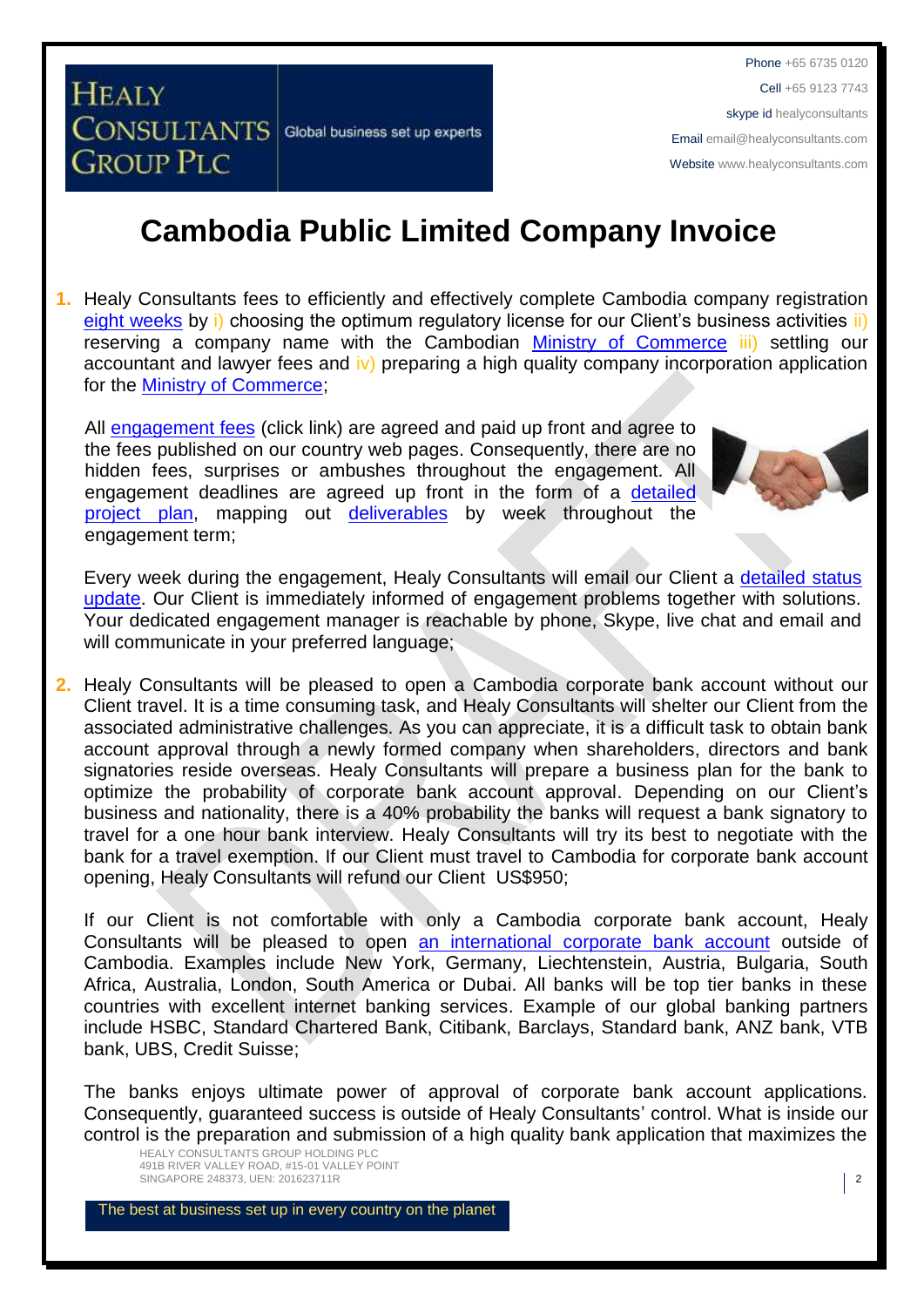Phone +65 6735 0120 Cell +65 9123 7743 skype id healyconsultants Email [email@healyconsultants.com](mailto:EMAIL@HEALYCONSULTANTS.COM) Website [www.healyconsultants.com](http://www.healyconsultants.com/)

## **Cambodia Public Limited Company Invoice**

**1.** Healy Consultants fees to efficiently and effectively complete Cambodia company registration [eight weeks](http://www.healyconsultants.com/cambodia-company-registration/fees-timelines/) by i) choosing the optimum regulatory license for our Client's business activities ii) reserving a company name with the Cambodian [Ministry of Commerce](http://www.moc.gov.kh/) iii) settling our accountant and lawyer fees and iv) preparing a high quality company incorporation application for the [Ministry of Commerce;](http://www.moc.gov.kh/)

All [engagement fees](http://www.healyconsultants.com/company-registration-fees/) (click link) are agreed and paid up front and agree to the fees published on our country web pages. Consequently, there are no hidden fees, surprises or ambushes throughout the engagement. All engagement deadlines are agreed up front in the form of a [detailed](http://www.healyconsultants.com/index-important-links/example-project-plan/)  [project plan,](http://www.healyconsultants.com/index-important-links/example-project-plan/) mapping out [deliverables](http://www.healyconsultants.com/deliverables-to-our-clients/) by week throughout the engagement term;



**2.** Healy Consultants will be pleased to open a Cambodia corporate bank account without our Client travel. It is a time consuming task, and Healy Consultants will shelter our Client from the associated administrative challenges. As you can appreciate, it is a difficult task to obtain bank account approval through a newly formed company when shareholders, directors and bank signatories reside overseas. Healy Consultants will prepare a business plan for the bank to optimize the probability of corporate bank account approval. Depending on our Client's business and nationality, there is a 40% probability the banks will request a bank signatory to travel for a one hour bank interview. Healy Consultants will try its best to negotiate with the bank for a travel exemption. If our Client must travel to Cambodia for corporate bank account opening, Healy Consultants will refund our Client US\$950;

If our Client is not comfortable with only a Cambodia corporate bank account, Healy Consultants will be pleased to open [an international corporate bank account](http://www.healyconsultants.com/international-banking/) outside of Cambodia. Examples include New York, Germany, Liechtenstein, Austria, Bulgaria, South Africa, Australia, London, South America or Dubai. All banks will be top tier banks in these countries with excellent internet banking services. Example of our global banking partners include HSBC, Standard Chartered Bank, Citibank, Barclays, Standard bank, ANZ bank, VTB bank, UBS, Credit Suisse;

The banks enjoys ultimate power of approval of corporate bank account applications. Consequently, guaranteed success is outside of Healy Consultants' control. What is inside our control is the preparation and submission of a high quality bank application that maximizes the

HEALY CONSULTANTS GROUP HOLDING PLC 491B RIVER VALLEY ROAD, #15-01 VALLEY POINT SINGAPORE 248373, UEN: 201623711R 2

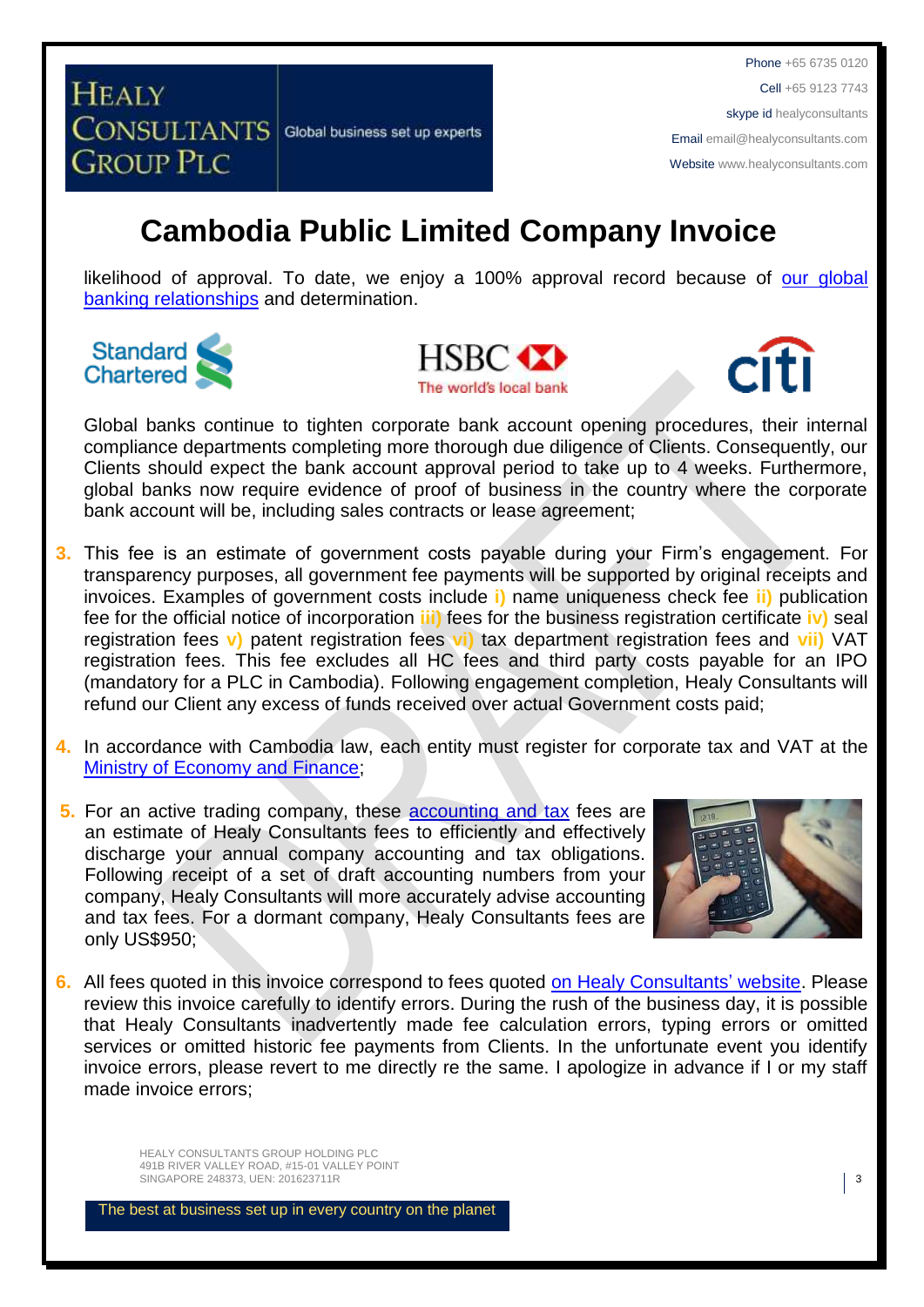Phone +65 6735 0120 Cell +65 9123 7743 skype id healyconsultants Email [email@healyconsultants.com](mailto:EMAIL@HEALYCONSULTANTS.COM) Website [www.healyconsultants.com](http://www.healyconsultants.com/)

## **Cambodia Public Limited Company Invoice**

likelihood of approval. To date, we enjoy a 100% approval record because of our global [banking relationships](http://www.healyconsultants.com/international-banking/corporate-accounts/) and determination.







Global banks continue to tighten corporate bank account opening procedures, their internal compliance departments completing more thorough due diligence of Clients. Consequently, our Clients should expect the bank account approval period to take up to 4 weeks. Furthermore, global banks now require evidence of proof of business in the country where the corporate bank account will be, including sales contracts or lease agreement;

- **3.** This fee is an estimate of government costs payable during your Firm's engagement. For transparency purposes, all government fee payments will be supported by original receipts and invoices. Examples of government costs include **i)** name uniqueness check fee **ii)** publication fee for the official notice of incorporation **iii)** fees for the business registration certificate **iv)** seal registration fees **v)** patent registration fees **vi)** tax department registration fees and **vii)** VAT registration fees. This fee excludes all HC fees and third party costs payable for an IPO (mandatory for a PLC in Cambodia). Following engagement completion, Healy Consultants will refund our Client any excess of funds received over actual Government costs paid;
- **4.** In accordance with Cambodia law, each entity must register for corporate tax and VAT at the [Ministry of Economy and Finance;](http://www.mef.gov.kh/)
- **5.** For an active trading company, these accounting and tax fees are an estimate of Healy Consultants fees to efficiently and effectively discharge your annual company accounting and tax obligations. Following receipt of a set of draft accounting numbers from your company, Healy Consultants will more accurately advise accounting and tax fees. For a dormant company, Healy Consultants fees are only US\$950;



**6.** All fees quoted in this invoice correspond to fees quoted [on Healy Consultants'](http://www.healyconsultants.com/company-registration-fees/) website. Please review this invoice carefully to identify errors. During the rush of the business day, it is possible that Healy Consultants inadvertently made fee calculation errors, typing errors or omitted services or omitted historic fee payments from Clients. In the unfortunate event you identify invoice errors, please revert to me directly re the same. I apologize in advance if I or my staff made invoice errors;

> HEALY CONSULTANTS GROUP HOLDING PLC 491B RIVER VALLEY ROAD, #15-01 VALLEY POINT SINGAPORE 248373, UEN: 201623711R 3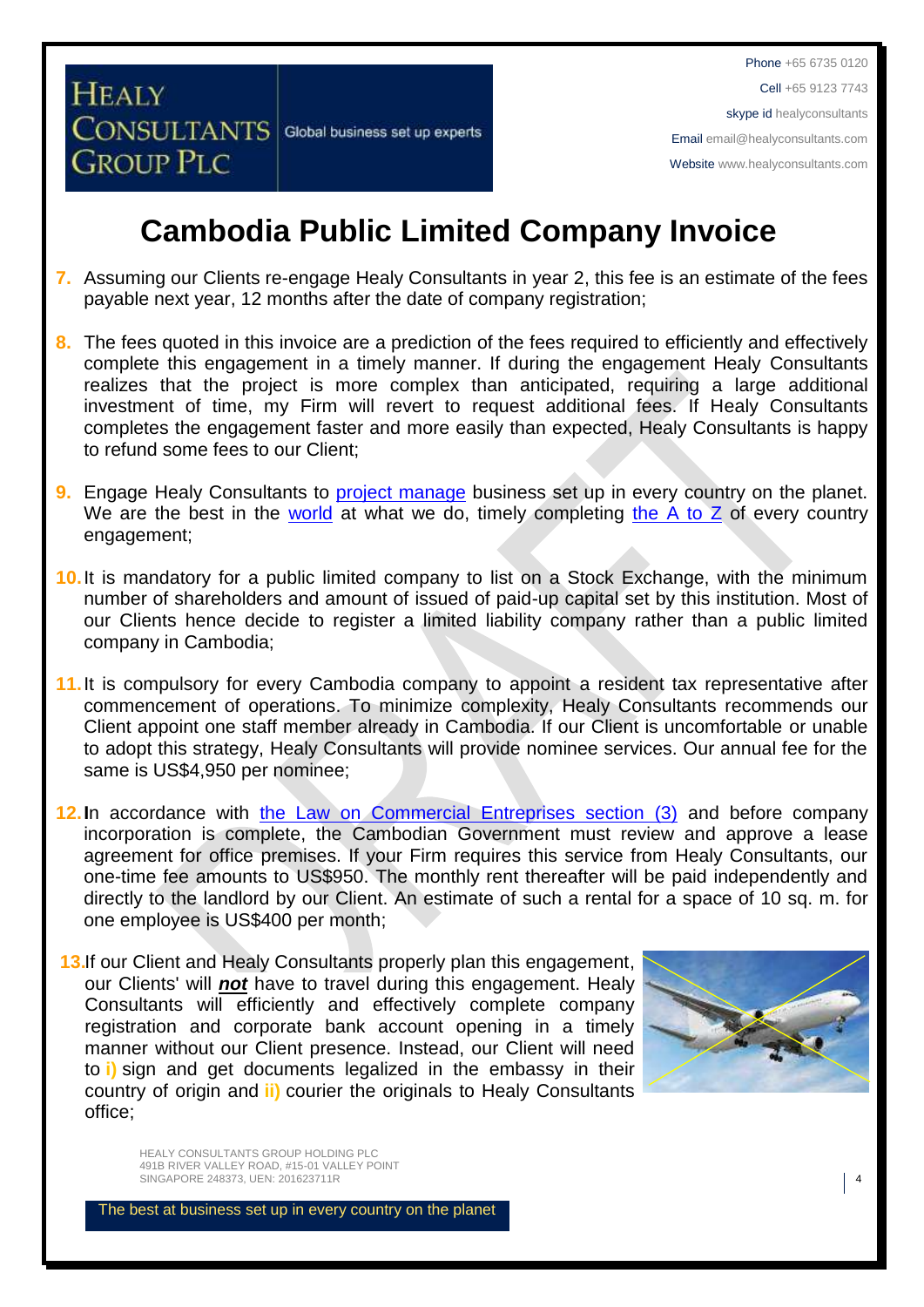## **Cambodia Public Limited Company Invoice**

- **7.** Assuming our Clients re-engage Healy Consultants in year 2, this fee is an estimate of the fees payable next year, 12 months after the date of company registration;
- **8.** The fees quoted in this invoice are a prediction of the fees required to efficiently and effectively complete this engagement in a timely manner. If during the engagement Healy Consultants realizes that the project is more complex than anticipated, requiring a large additional investment of time, my Firm will revert to request additional fees. If Healy Consultants completes the engagement faster and more easily than expected, Healy Consultants is happy to refund some fees to our Client;
- **9.** Engage Healy Consultants to [project manage](http://www.healyconsultants.com/project-manage-engagements/) business set up in every country on the planet. We are the best in the [world](http://www.healyconsultants.com/best-in-the-world/) at what we do, timely completing the  $A$  to  $Z$  of every country engagement;
- **10.**It is mandatory for a public limited company to list on a Stock Exchange, with the minimum number of shareholders and amount of issued of paid-up capital set by this institution. Most of our Clients hence decide to register a limited liability company rather than a public limited company in Cambodia;
- **11.** It is compulsory for every Cambodia company to appoint a resident tax representative after commencement of operations. To minimize complexity, Healy Consultants recommends our Client appoint one staff member already in Cambodia. If our Client is uncomfortable or unable to adopt this strategy, Healy Consultants will provide nominee services. Our annual fee for the same is US\$4,950 per nominee;
- **12.I**n accordance with [the Law on Commercial Entreprises section \(3\)](http://www.cambodiainvestment.gov.kh/content/uploads/2012/03/Law-on-Commercial-Enterprises_English_050517.pdf) and before company incorporation is complete, the Cambodian Government must review and approve a lease agreement for office premises. If your Firm requires this service from Healy Consultants, our one-time fee amounts to US\$950. The monthly rent thereafter will be paid independently and directly to the landlord by our Client. An estimate of such a rental for a space of 10 sq. m. for one employee is US\$400 per month;
- **13.** If our Client and Healy Consultants properly plan this engagement, our Clients' will *not* have to travel during this engagement. Healy Consultants will efficiently and effectively complete company registration and corporate bank account opening in a timely manner without our Client presence. Instead, our Client will need to **i)** sign and get documents legalized in the embassy in their country of origin and **ii)** courier the originals to Healy Consultants office;



HEALY CONSULTANTS GROUP HOLDING PLC 491B RIVER VALLEY ROAD, #15-01 VALLEY POINT SINGAPORE 248373, UEN: 201623711R 4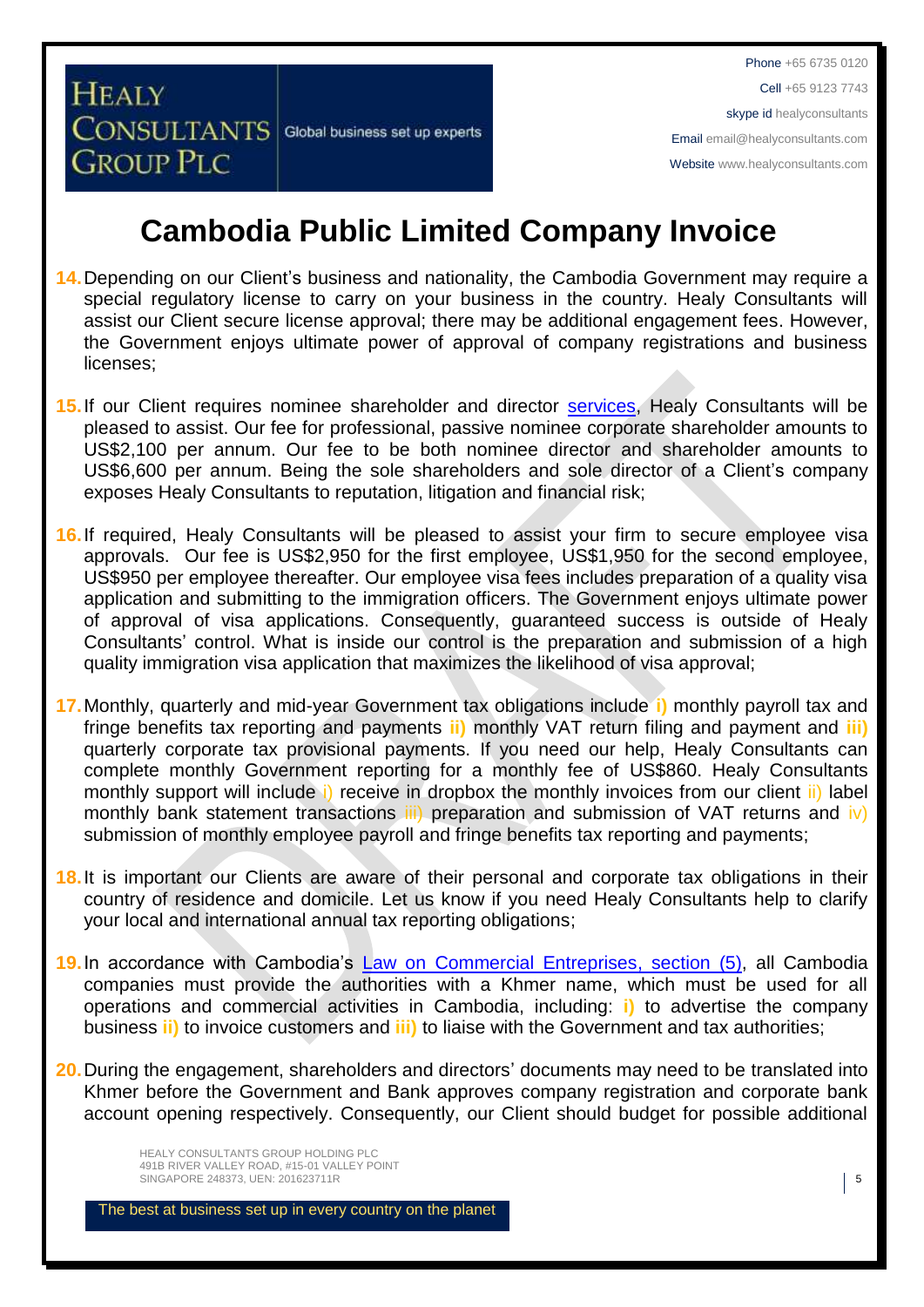**CONSULTANTS** Global business set up experts

**HEALY** 

**GROUP PLC** 

Phone +65 6735 0120 Cell +65 9123 7743 skype id healyconsultants Email [email@healyconsultants.com](mailto:EMAIL@HEALYCONSULTANTS.COM) Website [www.healyconsultants.com](http://www.healyconsultants.com/)

# **Cambodia Public Limited Company Invoice**

- **14.**Depending on our Client's business and nationality, the Cambodia Government may require a special regulatory license to carry on your business in the country. Healy Consultants will assist our Client secure license approval; there may be additional engagement fees. However, the Government enjoys ultimate power of approval of company registrations and business licenses;
- **15.**If our Client requires nominee shareholder and director [services,](http://www.healyconsultants.com/corporate-outsourcing-services/nominee-shareholders-directors/) Healy Consultants will be pleased to assist. Our fee for professional, passive nominee corporate shareholder amounts to US\$2,100 per annum. Our fee to be both nominee director and shareholder amounts to US\$6,600 per annum. Being the sole shareholders and sole director of a Client's company exposes Healy Consultants to reputation, litigation and financial risk;
- **16.**If required, Healy Consultants will be pleased to assist your firm to secure employee visa approvals. Our fee is US\$2,950 for the first employee, US\$1,950 for the second employee, US\$950 per employee thereafter. Our employee visa fees includes preparation of a quality visa application and submitting to the immigration officers. The Government enjoys ultimate power of approval of visa applications. Consequently, guaranteed success is outside of Healy Consultants' control. What is inside our control is the preparation and submission of a high quality immigration visa application that maximizes the likelihood of visa approval;
- **17.**Monthly, quarterly and mid-year Government tax obligations include **i)** monthly payroll tax and fringe benefits tax reporting and payments **ii)** monthly VAT return filing and payment and **iii)** quarterly corporate tax provisional payments. If you need our help, Healy Consultants can complete monthly Government reporting for a monthly fee of US\$860. Healy Consultants monthly support will include i) receive in dropbox the monthly invoices from our client ii) label monthly bank statement transactions iii) preparation and submission of VAT returns and iv) submission of monthly employee payroll and fringe benefits tax reporting and payments;
- **18.**It is important our Clients are aware of their personal and corporate tax obligations in their country of residence and domicile. Let us know if you need Healy Consultants help to clarify your local and international annual tax reporting obligations;
- **19.**In accordance with Cambodia's [Law on Commercial Entreprises,](http://www.cambodiainvestment.gov.kh/content/uploads/2012/03/Law-on-Commercial-Enterprises_English_050517.pdf) section (5), all Cambodia companies must provide the authorities with a Khmer name, which must be used for all operations and commercial activities in Cambodia, including: **i)** to advertise the company business **ii)** to invoice customers and **iii)** to liaise with the Government and tax authorities;
- **20.**During the engagement, shareholders and directors' documents may need to be translated into Khmer before the Government and Bank approves company registration and corporate bank account opening respectively. Consequently, our Client should budget for possible additional

HEALY CONSULTANTS GROUP HOLDING PLC 491B RIVER VALLEY ROAD, #15-01 VALLEY POINT SINGAPORE 248373, UEN: 201623711R **5**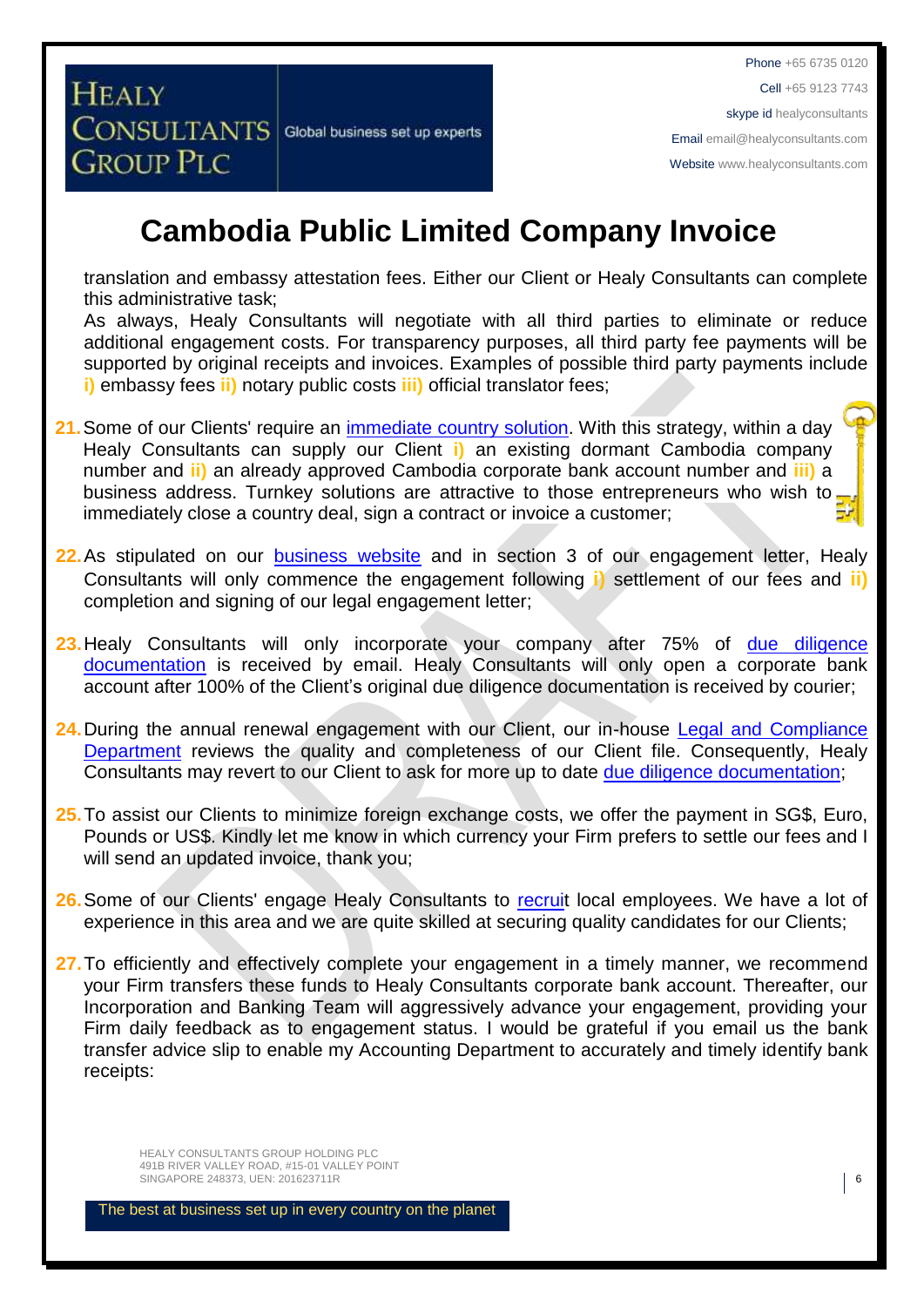## **Cambodia Public Limited Company Invoice**

translation and embassy attestation fees. Either our Client or Healy Consultants can complete this administrative task;

As always, Healy Consultants will negotiate with all third parties to eliminate or reduce additional engagement costs. For transparency purposes, all third party fee payments will be supported by original receipts and invoices. Examples of possible third party payments include **i)** embassy fees **ii)** notary public costs **iii)** official translator fees;

- **21.**Some of our Clients' require an [immediate country](http://www.healyconsultants.com/turnkey-solutions/) solution. With this strategy, within a day Healy Consultants can supply our Client **i)** an existing dormant Cambodia company number and **ii)** an already approved Cambodia corporate bank account number and **iii)** a business address. Turnkey solutions are attractive to those entrepreneurs who wish to. immediately close a country deal, sign a contract or invoice a customer;
- **22.**As stipulated on our [business website](http://www.healyconsultants.com/) and in section 3 of our engagement letter, Healy Consultants will only commence the engagement following **i)** settlement of our fees and **ii)** completion and signing of our legal engagement letter;
- 23. Healy Consultants will only incorporate your company after 75% of due diligence [documentation](http://www.healyconsultants.com/due-diligence/) is received by email. Healy Consultants will only open a corporate bank account after 100% of the Client's original due diligence documentation is received by courier;
- 24. During the annual renewal engagement with our Client, our in-house Legal and Compliance [Department](http://www.healyconsultants.com/about-us/key-personnel/cai-xin-profile/) reviews the quality and completeness of our Client file. Consequently, Healy Consultants may revert to our Client to ask for more up to date [due diligence documentation;](http://www.healyconsultants.com/due-diligence/)
- **25.**To assist our Clients to minimize foreign exchange costs, we offer the payment in SG\$, Euro, Pounds or US\$. Kindly let me know in which currency your Firm prefers to settle our fees and I will send an updated invoice, thank you;
- **26.**Some of our Clients' engage Healy Consultants to [recruit](http://www.healyconsultants.com/corporate-outsourcing-services/how-we-help-our-clients-recruit-quality-employees/) local employees. We have a lot of experience in this area and we are quite skilled at securing quality candidates for our Clients;
- 27. To efficiently and effectively complete your engagement in a timely manner, we recommend your Firm transfers these funds to Healy Consultants corporate bank account. Thereafter, our Incorporation and Banking Team will aggressively advance your engagement, providing your Firm daily feedback as to engagement status. I would be grateful if you email us the bank transfer advice slip to enable my Accounting Department to accurately and timely identify bank receipts:

HEALY CONSULTANTS GROUP HOLDING PLC 491B RIVER VALLEY ROAD, #15-01 VALLEY POINT SINGAPORE 248373, UEN: 201623711R 6